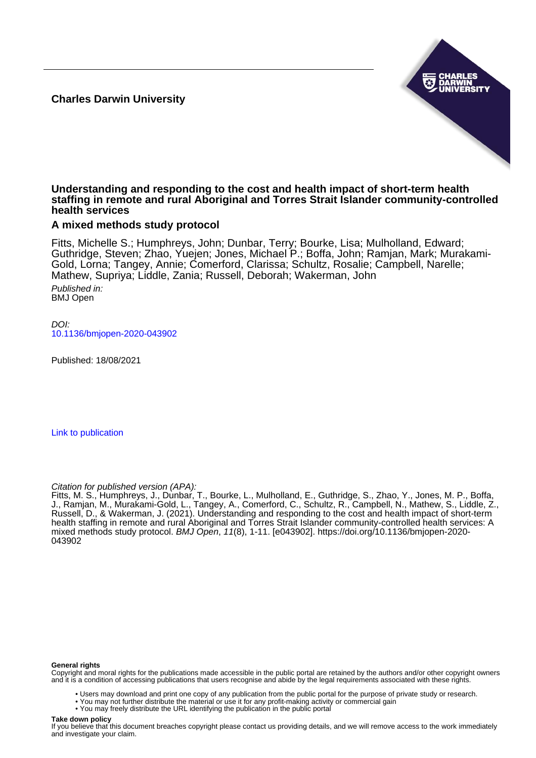**Charles Darwin University**



### **Understanding and responding to the cost and health impact of short-term health staffing in remote and rural Aboriginal and Torres Strait Islander community-controlled health services**

## **A mixed methods study protocol**

Fitts, Michelle S.; Humphreys, John; Dunbar, Terry; Bourke, Lisa; Mulholland, Edward; Guthridge, Steven; Zhao, Yuejen; Jones, Michael P.; Boffa, John; Ramjan, Mark; Murakami-Gold, Lorna; Tangey, Annie; Comerford, Clarissa; Schultz, Rosalie; Campbell, Narelle; Mathew, Supriya; Liddle, Zania; Russell, Deborah; Wakerman, John

Published in: BMJ Open

 $D$ [10.1136/bmjopen-2020-043902](https://doi.org/10.1136/bmjopen-2020-043902)

Published: 18/08/2021

[Link to publication](https://researchers.cdu.edu.au/en/publications/d77b66c3-e5ca-4e24-b4ea-a1f64bcb09a5)

Citation for published version (APA):

Fitts, M. S., Humphreys, J., Dunbar, T., Bourke, L., Mulholland, E., Guthridge, S., Zhao, Y., Jones, M. P., Boffa, J., Ramjan, M., Murakami-Gold, L., Tangey, A., Comerford, C., Schultz, R., Campbell, N., Mathew, S., Liddle, Z., Russell, D., & Wakerman, J. (2021). Understanding and responding to the cost and health impact of short-term health staffing in remote and rural Aboriginal and Torres Strait Islander community-controlled health services: A mixed methods study protocol. BMJ Open, 11(8), 1-11. [e043902]. [https://doi.org/10.1136/bmjopen-2020-](https://doi.org/10.1136/bmjopen-2020-043902) [043902](https://doi.org/10.1136/bmjopen-2020-043902)

#### **General rights**

Copyright and moral rights for the publications made accessible in the public portal are retained by the authors and/or other copyright owners and it is a condition of accessing publications that users recognise and abide by the legal requirements associated with these rights.

- Users may download and print one copy of any publication from the public portal for the purpose of private study or research.
- You may not further distribute the material or use it for any profit-making activity or commercial gain
- You may freely distribute the URL identifying the publication in the public portal

#### **Take down policy**

If you believe that this document breaches copyright please contact us providing details, and we will remove access to the work immediately and investigate your claim.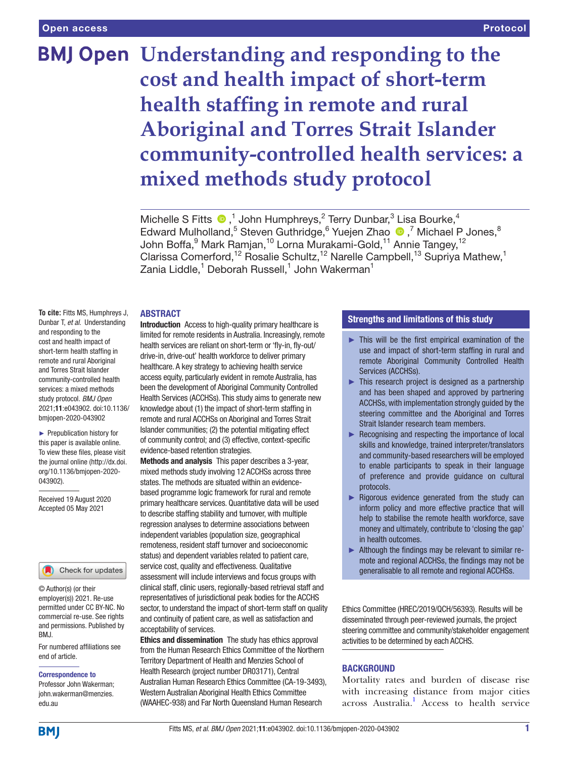# **BMJ Open Understanding and responding to the cost and health impact of short-term health staffing in remote and rural Aboriginal and Torres Strait Islander community-controlled health services: a mixed methods study protocol**

MichelleS Fitts  $\bigcirc$ ,<sup>1</sup> John Humphreys,<sup>2</sup> Terry Dunbar,<sup>3</sup> Lisa Bourke,<sup>4</sup> Edward Mulholland,<sup>5</sup> Steven Guthridge,<sup>6</sup> Yuejen Zhao <sup>1</sup>,<sup>7</sup> Michael P Jones,<sup>8</sup> John Boffa,<sup>9</sup> Mark Ramjan,<sup>10</sup> Lorna Murakami-Gold,<sup>11</sup> Annie Tangey,<sup>12</sup> Clarissa Comerford,<sup>12</sup> Rosalie Schultz,<sup>12</sup> Narelle Campbell,<sup>13</sup> Supriya Mathew,<sup>1</sup> Zania Liddle, $^{\rm 1}$  Deborah Russell, $^{\rm 1}$  John Wakerman $^{\rm 1}$ 

#### ABSTRACT

**To cite:** Fitts MS, Humphreys J, Dunbar T, *et al*. Understanding and responding to the cost and health impact of short-term health staffing in remote and rural Aboriginal and Torres Strait Islander community-controlled health services: a mixed methods study protocol. *BMJ Open* 2021;11:e043902. doi:10.1136/ bmjopen-2020-043902

► Prepublication history for this paper is available online. To view these files, please visit the journal online (http://dx.doi. org/10.1136/bmjopen-2020- 043902).

Received 19 August 2020 Accepted 05 May 2021



© Author(s) (or their employer(s)) 2021. Re-use permitted under CC BY-NC. No commercial re-use. See rights and permissions. Published by BMJ.

For numbered affiliations see end of article.

#### Correspondence to

Professor John Wakerman; john.wakerman@menzies. edu.au

Introduction Access to high-quality primary healthcare is limited for remote residents in Australia. Increasingly, remote health services are reliant on short-term or 'fly-in, fly-out/ drive-in, drive-out' health workforce to deliver primary healthcare. A key strategy to achieving health service access equity, particularly evident in remote Australia, has been the development of Aboriginal Community Controlled Health Services (ACCHSs). This study aims to generate new knowledge about (1) the impact of short-term staffing in remote and rural ACCHSs on Aboriginal and Torres Strait Islander communities; (2) the potential mitigating effect of community control; and (3) effective, context-specific evidence-based retention strategies.

Methods and analysis This paper describes a 3-year, mixed methods study involving 12 ACCHSs across three states. The methods are situated within an evidencebased programme logic framework for rural and remote primary healthcare services. Quantitative data will be used to describe staffing stability and turnover, with multiple regression analyses to determine associations between independent variables (population size, geographical remoteness, resident staff turnover and socioeconomic status) and dependent variables related to patient care, service cost, quality and effectiveness. Qualitative assessment will include interviews and focus groups with clinical staff, clinic users, regionally-based retrieval staff and representatives of jurisdictional peak bodies for the ACCHS sector, to understand the impact of short-term staff on quality and continuity of patient care, as well as satisfaction and acceptability of services.

Ethics and dissemination The study has ethics approval from the Human Research Ethics Committee of the Northern Territory Department of Health and Menzies School of Health Research (project number DR03171), Central Australian Human Research Ethics Committee (CA-19-3493), Western Australian Aboriginal Health Ethics Committee (WAAHEC-938) and Far North Queensland Human Research

#### Strengths and limitations of this study

- ► This will be the first empirical examination of the use and impact of short-term staffing in rural and remote Aboriginal Community Controlled Health Services (ACCHSs).
- $\blacktriangleright$  This research project is designed as a partnership and has been shaped and approved by partnering ACCHSs, with implementation strongly guided by the steering committee and the Aboriginal and Torres Strait Islander research team members.
- ► Recognising and respecting the importance of local skills and knowledge, trained interpreter/translators and community-based researchers will be employed to enable participants to speak in their language of preference and provide guidance on cultural protocols.
- $\blacktriangleright$  Rigorous evidence generated from the study can inform policy and more effective practice that will help to stabilise the remote health workforce, save money and ultimately, contribute to 'closing the gap' in health outcomes.
- ► Although the findings may be relevant to similar remote and regional ACCHSs, the findings may not be generalisable to all remote and regional ACCHSs.

Ethics Committee (HREC/2019/QCH/56393). Results will be disseminated through peer-reviewed journals, the project steering committee and community/stakeholder engagement activities to be determined by each ACCHS.

#### **BACKGROUND**

Mortality rates and burden of disease rise with increasing distance from major cities across Australia.<sup>[1](#page-10-0)</sup> Access to health service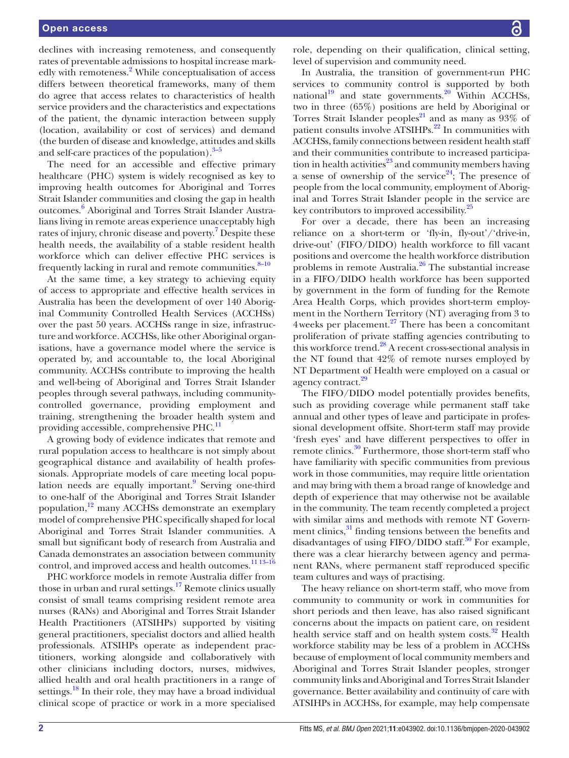declines with increasing remoteness, and consequently rates of preventable admissions to hospital increase mark-edly with remoteness.<sup>[2](#page-10-1)</sup> While conceptualisation of access differs between theoretical frameworks, many of them do agree that access relates to characteristics of health service providers and the characteristics and expectations of the patient, the dynamic interaction between supply (location, availability or cost of services) and demand (the burden of disease and knowledge, attitudes and skills and self-care practices of the population). $3-5$ 

The need for an accessible and effective primary healthcare (PHC) system is widely recognised as key to improving health outcomes for Aboriginal and Torres Strait Islander communities and closing the gap in health outcomes.<sup>6</sup> Aboriginal and Torres Strait Islander Australians living in remote areas experience unacceptably high rates of injury, chronic disease and poverty.<sup>7</sup> Despite these health needs, the availability of a stable resident health workforce which can deliver effective PHC services is frequently lacking in rural and remote communities.<sup>8-10</sup>

At the same time, a key strategy to achieving equity of access to appropriate and effective health services in Australia has been the development of over 140 Aboriginal Community Controlled Health Services (ACCHSs) over the past 50 years. ACCHSs range in size, infrastructure and workforce. ACCHSs, like other Aboriginal organisations, have a governance model where the service is operated by, and accountable to, the local Aboriginal community. ACCHSs contribute to improving the health and well-being of Aboriginal and Torres Strait Islander peoples through several pathways, including communitycontrolled governance, providing employment and training, strengthening the broader health system and providing accessible, comprehensive PHC.<sup>11</sup>

A growing body of evidence indicates that remote and rural population access to healthcare is not simply about geographical distance and availability of health professionals. Appropriate models of care meeting local popu-lation needs are equally important.<sup>[9](#page-10-7)</sup> Serving one-third to one-half of the Aboriginal and Torres Strait Islander population,<sup>[12](#page-10-8)</sup> many ACCHSs demonstrate an exemplary model of comprehensive PHC specifically shaped for local Aboriginal and Torres Strait Islander communities. A small but significant body of research from Australia and Canada demonstrates an association between community control, and improved access and health outcomes.<sup>11 13-16</sup>

PHC workforce models in remote Australia differ from those in urban and rural settings.<sup>[17](#page-10-9)</sup> Remote clinics usually consist of small teams comprising resident remote area nurses (RANs) and Aboriginal and Torres Strait Islander Health Practitioners (ATSIHPs) supported by visiting general practitioners, specialist doctors and allied health professionals. ATSIHPs operate as independent practitioners, working alongside and collaboratively with other clinicians including doctors, nurses, midwives, allied health and oral health practitioners in a range of settings.<sup>18</sup> In their role, they may have a broad individual clinical scope of practice or work in a more specialised

role, depending on their qualification, clinical setting, level of supervision and community need.

In Australia, the transition of government-run PHC services to community control is supported by both national<sup>19</sup> and state governments.<sup>20</sup> Within ACCHSs, two in three (65%) positions are held by Aboriginal or Torres Strait Islander peoples<sup>21</sup> and as many as  $93\%$  of patient consults involve  $ATSIHPs<sup>22</sup>$  $ATSIHPs<sup>22</sup>$  $ATSIHPs<sup>22</sup>$  In communities with ACCHSs, family connections between resident health staff and their communities contribute to increased participation in health activities<sup>23</sup> and community members having a sense of ownership of the service<sup>24</sup>; The presence of people from the local community, employment of Aboriginal and Torres Strait Islander people in the service are key contributors to improved accessibility.<sup>[25](#page-10-17)</sup>

For over a decade, there has been an increasing reliance on a short-term or 'fly-in, fly-out'/'drive-in, drive-out' (FIFO/DIDO) health workforce to fill vacant positions and overcome the health workforce distribution problems in remote Australia.<sup>26</sup> The substantial increase in a FIFO/DIDO health workforce has been supported by government in the form of funding for the Remote Area Health Corps, which provides short-term employment in the Northern Territory (NT) averaging from 3 to 4weeks per placement.<sup>[27](#page-10-19)</sup> There has been a concomitant proliferation of private staffing agencies contributing to this workforce trend.<sup>[28](#page-10-20)</sup> A recent cross-sectional analysis in the NT found that 42% of remote nurses employed by NT Department of Health were employed on a casual or agency contract.<sup>[29](#page-10-21)</sup>

The FIFO/DIDO model potentially provides benefits, such as providing coverage while permanent staff take annual and other types of leave and participate in professional development offsite. Short-term staff may provide 'fresh eyes' and have different perspectives to offer in remote clinics.<sup>30</sup> Furthermore, those short-term staff who have familiarity with specific communities from previous work in those communities, may require little orientation and may bring with them a broad range of knowledge and depth of experience that may otherwise not be available in the community. The team recently completed a project with similar aims and methods with remote NT Government clinics,<sup>31</sup> finding tensions between the benefits and disadvantages of using  $FIFO/DIDO$  staff.<sup>30</sup> For example, there was a clear hierarchy between agency and permanent RANs, where permanent staff reproduced specific team cultures and ways of practising.

The heavy reliance on short-term staff, who move from community to community or work in communities for short periods and then leave, has also raised significant concerns about the impacts on patient care, on resident health service staff and on health system costs.<sup>[32](#page-11-1)</sup> Health workforce stability may be less of a problem in ACCHSs because of employment of local community members and Aboriginal and Torres Strait Islander peoples, stronger community links and Aboriginal and Torres Strait Islander governance. Better availability and continuity of care with ATSIHPs in ACCHSs, for example, may help compensate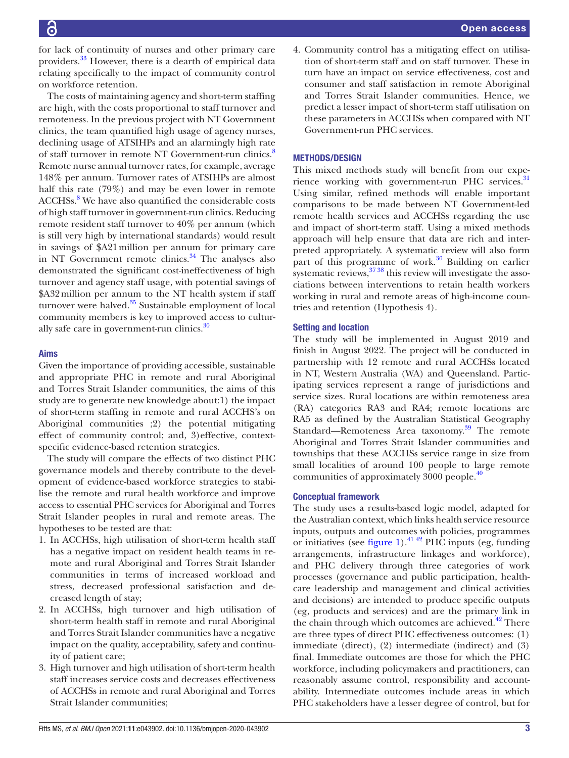for lack of continuity of nurses and other primary care providers.<sup>33</sup> However, there is a dearth of empirical data relating specifically to the impact of community control on workforce retention.

The costs of maintaining agency and short-term staffing are high, with the costs proportional to staff turnover and remoteness. In the previous project with NT Government clinics, the team quantified high usage of agency nurses, declining usage of ATSIHPs and an alarmingly high rate of staff turnover in remote NT Government-run clinics.<sup>[8](#page-10-5)</sup> Remote nurse annual turnover rates, for example, average 148% per annum. Turnover rates of ATSIHPs are almost half this rate (79%) and may be even lower in remote ACCHSs.<sup>[8](#page-10-5)</sup> We have also quantified the considerable costs of high staff turnover in government-run clinics. Reducing remote resident staff turnover to 40% per annum (which is still very high by international standards) would result in savings of \$A21million per annum for primary care in NT Government remote clinics.<sup>34</sup> The analyses also demonstrated the significant cost-ineffectiveness of high turnover and agency staff usage, with potential savings of \$A32million per annum to the NT health system if staff turnover were halved. $35$  Sustainable employment of local community members is key to improved access to cultur-ally safe care in government-run clinics.<sup>[30](#page-10-22)</sup>

#### Aims

Given the importance of providing accessible, sustainable and appropriate PHC in remote and rural Aboriginal and Torres Strait Islander communities, the aims of this study are to generate new knowledge about:1) the impact of short-term staffing in remote and rural ACCHS's on Aboriginal communities ;2) the potential mitigating effect of community control; and, 3)effective, contextspecific evidence-based retention strategies.

The study will compare the effects of two distinct PHC governance models and thereby contribute to the development of evidence-based workforce strategies to stabilise the remote and rural health workforce and improve access to essential PHC services for Aboriginal and Torres Strait Islander peoples in rural and remote areas. The hypotheses to be tested are that:

- 1. In ACCHSs, high utilisation of short-term health staff has a negative impact on resident health teams in remote and rural Aboriginal and Torres Strait Islander communities in terms of increased workload and stress, decreased professional satisfaction and decreased length of stay;
- 2. In ACCHSs, high turnover and high utilisation of short-term health staff in remote and rural Aboriginal and Torres Strait Islander communities have a negative impact on the quality, acceptability, safety and continuity of patient care;
- 3. High turnover and high utilisation of short-term health staff increases service costs and decreases effectiveness of ACCHSs in remote and rural Aboriginal and Torres Strait Islander communities;

4. Community control has a mitigating effect on utilisation of short-term staff and on staff turnover. These in turn have an impact on service effectiveness, cost and consumer and staff satisfaction in remote Aboriginal and Torres Strait Islander communities. Hence, we predict a lesser impact of short-term staff utilisation on these parameters in ACCHSs when compared with NT Government-run PHC services.

#### METHODS/DESIGN

This mixed methods study will benefit from our expe-rience working with government-run PHC services.<sup>[31](#page-11-0)</sup> Using similar, refined methods will enable important comparisons to be made between NT Government-led remote health services and ACCHSs regarding the use and impact of short-term staff. Using a mixed methods approach will help ensure that data are rich and interpreted appropriately. A systematic review will also form part of this programme of work. $36$  Building on earlier systematic reviews,  $\frac{3738}{37}$  this review will investigate the associations between interventions to retain health workers working in rural and remote areas of high-income countries and retention (Hypothesis 4).

#### Setting and location

The study will be implemented in August 2019 and finish in August 2022. The project will be conducted in partnership with 12 remote and rural ACCHSs located in NT, Western Australia (WA) and Queensland. Participating services represent a range of jurisdictions and service sizes. Rural locations are within remoteness area (RA) categories RA3 and RA4; remote locations are RA5 as defined by the Australian Statistical Geography Standard—Remoteness Area taxonomy.<sup>[39](#page-11-7)</sup> The remote Aboriginal and Torres Strait Islander communities and townships that these ACCHSs service range in size from small localities of around 100 people to large remote communities of approximately 3000 people.<sup>[40](#page-11-8)</sup>

#### Conceptual framework

The study uses a results-based logic model, adapted for the Australian context, which links health service resource inputs, outputs and outcomes with policies, programmes or initiatives (see [figure](#page-4-0) 1).<sup>41,42</sup> PHC inputs (eg, funding arrangements, infrastructure linkages and workforce), and PHC delivery through three categories of work processes (governance and public participation, healthcare leadership and management and clinical activities and decisions) are intended to produce specific outputs (eg, products and services) and are the primary link in the chain through which outcomes are achieved.<sup>42</sup> There are three types of direct PHC effectiveness outcomes: (1) immediate (direct), (2) intermediate (indirect) and (3) final. Immediate outcomes are those for which the PHC workforce, including policymakers and practitioners, can reasonably assume control, responsibility and accountability. Intermediate outcomes include areas in which PHC stakeholders have a lesser degree of control, but for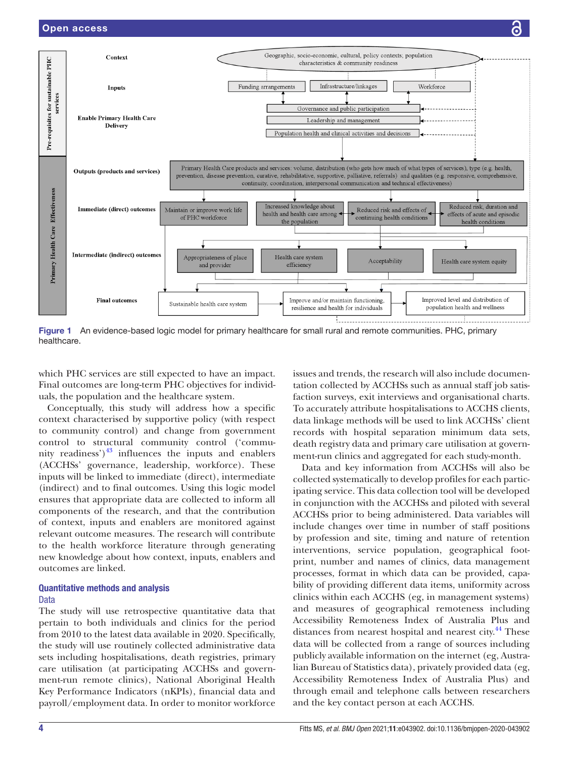

<span id="page-4-0"></span>Figure 1 An evidence-based logic model for primary healthcare for small rural and remote communities. PHC, primary healthcare.

which PHC services are still expected to have an impact. Final outcomes are long-term PHC objectives for individuals, the population and the healthcare system.

Conceptually, this study will address how a specific context characterised by supportive policy (with respect to community control) and change from government control to structural community control ('community readiness') $^{43}$  influences the inputs and enablers (ACCHSs' governance, leadership, workforce). These inputs will be linked to immediate (direct), intermediate (indirect) and to final outcomes. Using this logic model ensures that appropriate data are collected to inform all components of the research, and that the contribution of context, inputs and enablers are monitored against relevant outcome measures. The research will contribute to the health workforce literature through generating new knowledge about how context, inputs, enablers and outcomes are linked.

#### Quantitative methods and analysis Data

The study will use retrospective quantitative data that pertain to both individuals and clinics for the period from 2010 to the latest data available in 2020. Specifically, the study will use routinely collected administrative data sets including hospitalisations, death registries, primary care utilisation (at participating ACCHSs and government-run remote clinics), National Aboriginal Health Key Performance Indicators (nKPIs), financial data and payroll/employment data. In order to monitor workforce

issues and trends, the research will also include documentation collected by ACCHSs such as annual staff job satisfaction surveys, exit interviews and organisational charts. To accurately attribute hospitalisations to ACCHS clients, data linkage methods will be used to link ACCHSs' client records with hospital separation minimum data sets, death registry data and primary care utilisation at government-run clinics and aggregated for each study-month.

Data and key information from ACCHSs will also be collected systematically to develop profiles for each participating service. This data collection tool will be developed in conjunction with the ACCHSs and piloted with several ACCHSs prior to being administered. Data variables will include changes over time in number of staff positions by profession and site, timing and nature of retention interventions, service population, geographical footprint, number and names of clinics, data management processes, format in which data can be provided, capability of providing different data items, uniformity across clinics within each ACCHS (eg, in management systems) and measures of geographical remoteness including Accessibility Remoteness Index of Australia Plus and distances from nearest hospital and nearest city.<sup>44</sup> These data will be collected from a range of sources including publicly available information on the internet (eg, Australian Bureau of Statistics data), privately provided data (eg, Accessibility Remoteness Index of Australia Plus) and through email and telephone calls between researchers and the key contact person at each ACCHS.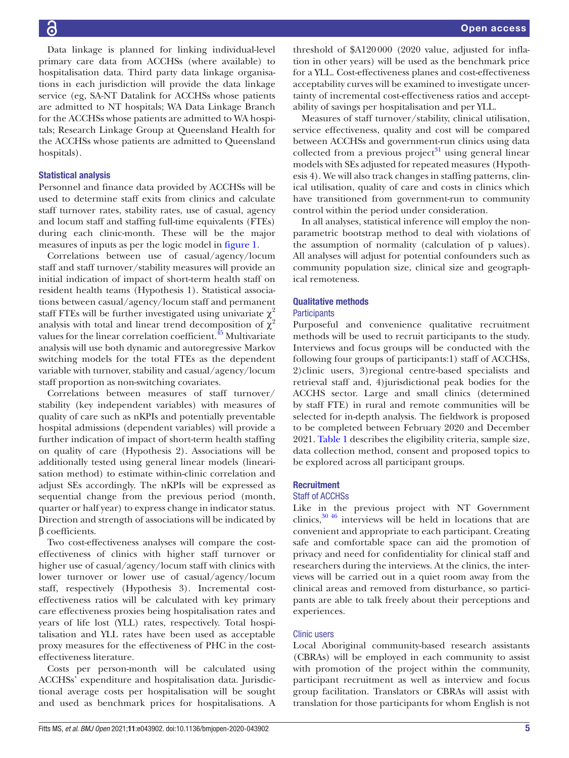Data linkage is planned for linking individual-level primary care data from ACCHSs (where available) to hospitalisation data. Third party data linkage organisations in each jurisdiction will provide the data linkage service (eg, SA-NT Datalink for ACCHSs whose patients are admitted to NT hospitals; WA Data Linkage Branch for the ACCHSs whose patients are admitted to WA hospitals; Research Linkage Group at Queensland Health for the ACCHSs whose patients are admitted to Queensland hospitals).

#### Statistical analysis

Personnel and finance data provided by ACCHSs will be used to determine staff exits from clinics and calculate staff turnover rates, stability rates, use of casual, agency and locum staff and staffing full-time equivalents (FTEs) during each clinic-month. These will be the major measures of inputs as per the logic model in [figure](#page-4-0) 1.

Correlations between use of casual/agency/locum staff and staff turnover/stability measures will provide an initial indication of impact of short-term health staff on resident health teams (Hypothesis 1). Statistical associations between casual/agency/locum staff and permanent staff FTEs will be further investigated using univariate  $\chi^2$ analysis with total and linear trend decomposition of  $\chi^2$ values for the linear correlation coefficient.<sup>45</sup> Multivariate analysis will use both dynamic and autoregressive Markov switching models for the total FTEs as the dependent variable with turnover, stability and casual/agency/locum staff proportion as non-switching covariates.

Correlations between measures of staff turnover/ stability (key independent variables) with measures of quality of care such as nKPIs and potentially preventable hospital admissions (dependent variables) will provide a further indication of impact of short-term health staffing on quality of care (Hypothesis 2). Associations will be additionally tested using general linear models (linearisation method) to estimate within-clinic correlation and adjust SEs accordingly. The nKPIs will be expressed as sequential change from the previous period (month, quarter or half year) to express change in indicator status. Direction and strength of associations will be indicated by β coefficients.

Two cost-effectiveness analyses will compare the costeffectiveness of clinics with higher staff turnover or higher use of casual/agency/locum staff with clinics with lower turnover or lower use of casual/agency/locum staff, respectively (Hypothesis 3). Incremental costeffectiveness ratios will be calculated with key primary care effectiveness proxies being hospitalisation rates and years of life lost (YLL) rates, respectively. Total hospitalisation and YLL rates have been used as acceptable proxy measures for the effectiveness of PHC in the costeffectiveness literature.

Costs per person-month will be calculated using ACCHSs' expenditure and hospitalisation data. Jurisdictional average costs per hospitalisation will be sought and used as benchmark prices for hospitalisations. A

threshold of \$A120000 (2020 value, adjusted for inflation in other years) will be used as the benchmark price for a YLL. Cost-effectiveness planes and cost-effectiveness acceptability curves will be examined to investigate uncertainty of incremental cost-effectiveness ratios and acceptability of savings per hospitalisation and per YLL.

Measures of staff turnover/stability, clinical utilisation, service effectiveness, quality and cost will be compared between ACCHSs and government-run clinics using data collected from a previous project $31$  using general linear models with SEs adjusted for repeated measures (Hypothesis 4). We will also track changes in staffing patterns, clinical utilisation, quality of care and costs in clinics which have transitioned from government-run to community control within the period under consideration.

In all analyses, statistical inference will employ the nonparametric bootstrap method to deal with violations of the assumption of normality (calculation of p values). All analyses will adjust for potential confounders such as community population size, clinical size and geographical remoteness.

#### Qualitative methods

#### **Participants**

Purposeful and convenience qualitative recruitment methods will be used to recruit participants to the study. Interviews and focus groups will be conducted with the following four groups of participants:1) staff of ACCHSs, 2)clinic users, 3)regional centre-based specialists and retrieval staff and, 4)jurisdictional peak bodies for the ACCHS sector. Large and small clinics (determined by staff FTE) in rural and remote communities will be selected for in-depth analysis. The fieldwork is proposed to be completed between February 2020 and December 2021. [Table](#page-6-0) 1 describes the eligibility criteria, sample size, data collection method, consent and proposed topics to be explored across all participant groups.

#### **Recruitment**

#### Staff of ACCHSs

Like in the previous project with NT Government clinics, $30\,46$  interviews will be held in locations that are convenient and appropriate to each participant. Creating safe and comfortable space can aid the promotion of privacy and need for confidentiality for clinical staff and researchers during the interviews. At the clinics, the interviews will be carried out in a quiet room away from the clinical areas and removed from disturbance, so participants are able to talk freely about their perceptions and experiences.

#### Clinic users

Local Aboriginal community-based research assistants (CBRAs) will be employed in each community to assist with promotion of the project within the community, participant recruitment as well as interview and focus group facilitation. Translators or CBRAs will assist with translation for those participants for whom English is not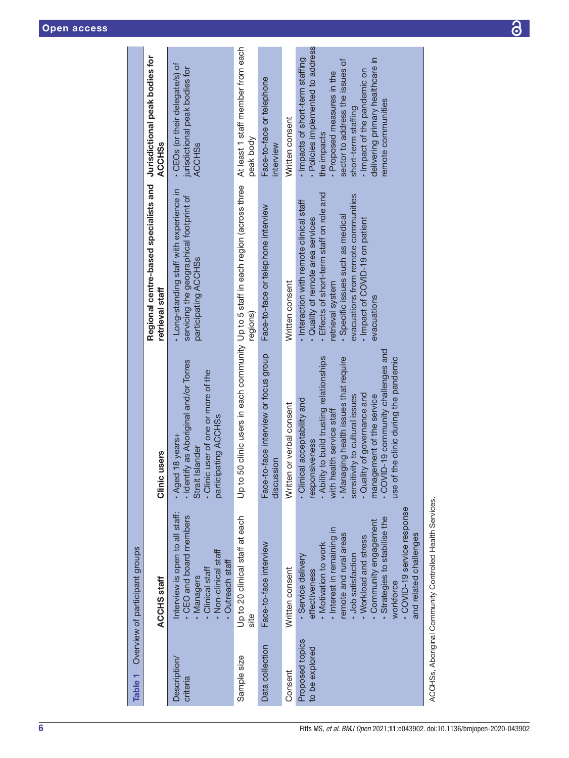<span id="page-6-0"></span>

| Table 1                           | Overview of participant groups                                                                                                                                                                                                                                                              |                                                                                                                                                                                                                                                                                                                                                  |                                                                                                                                                                                                                                                                         |                                                                                                                                                                                                                                                                 |
|-----------------------------------|---------------------------------------------------------------------------------------------------------------------------------------------------------------------------------------------------------------------------------------------------------------------------------------------|--------------------------------------------------------------------------------------------------------------------------------------------------------------------------------------------------------------------------------------------------------------------------------------------------------------------------------------------------|-------------------------------------------------------------------------------------------------------------------------------------------------------------------------------------------------------------------------------------------------------------------------|-----------------------------------------------------------------------------------------------------------------------------------------------------------------------------------------------------------------------------------------------------------------|
|                                   | <b>ACCHS staff</b>                                                                                                                                                                                                                                                                          | users<br>Clinic                                                                                                                                                                                                                                                                                                                                  | Regional centre-based specialists and Jurisdictional peak bodies for<br>retrieval staff                                                                                                                                                                                 | <b>ACCHSs</b>                                                                                                                                                                                                                                                   |
| Description<br>criteria           | Interview is open to all staff:<br>- CEO and board members<br>- Non-clinical staff<br>Dutreach staff<br>Clinical staff<br>Managers                                                                                                                                                          | - Identify as Aboriginal and/or Torres<br>· Clinic user of one or more of the<br>participating ACCHSs<br>Aged 18 years+<br>Strait Islander                                                                                                                                                                                                       | - Long-standing staff with experience in<br>servicing the geographical footprint of<br>participating ACCHSs                                                                                                                                                             | CEOs (or their delegate/s) of<br>jurisdictional peak bodies for<br><b>ACCHSs</b>                                                                                                                                                                                |
| Sample size                       | Up to 20 clinical staff at each<br>site                                                                                                                                                                                                                                                     |                                                                                                                                                                                                                                                                                                                                                  | Up to 50 clinic users in each community Up to 5 staff in each region (across three<br>regions)                                                                                                                                                                          | At least 1 staff member from each<br>peak body                                                                                                                                                                                                                  |
| Data collection                   | Face-to-face interview                                                                                                                                                                                                                                                                      | Face-to-face interview or focus group<br>discussion                                                                                                                                                                                                                                                                                              | Face-to-face or telephone interview                                                                                                                                                                                                                                     | Face-to-face or telephone<br>interview                                                                                                                                                                                                                          |
| Consent                           | Written consent                                                                                                                                                                                                                                                                             | Written or verbal consent                                                                                                                                                                                                                                                                                                                        | Written consent                                                                                                                                                                                                                                                         | Written consent                                                                                                                                                                                                                                                 |
| Proposed topics<br>to be explored | - COVID-19 service response<br>Strategies to stabilise the<br>Community engagement<br>Interest in remaining in<br>remote and rural areas<br>and related challenges<br>- Workload and stress<br>- Motivation to work<br>- Job satisfaction<br>Service delivery<br>effectiveness<br>workforce | - COVID-19 community challenges and<br>. Ability to build trusting relationships<br>the clinic during the pandemic<br>Managing health issues that require<br>· Quality of governance and<br>sensitivity to cultural issues<br>management of the service<br>· Clinical acceptability and<br>with health service staff<br>responsiveness<br>use of | - Effects of short-term staff on role and<br>evacuations from remote communities<br>Interaction with remote clinical staff<br>· Specific issues such as medical<br>- Impact of COVID-19 on patient<br>Quality of remote area services<br>etrieval system<br>evacuations | · Policies implemented to address<br>Impacts of short-term staffing<br>delivering primary healthcare in<br>sector to address the issues of<br>Impact of the pandemic on<br>Proposed measures in the<br>remote communities<br>short-term staffing<br>the impacts |
|                                   | ACCHSs, Aboriginal Community Controlled Health Services.                                                                                                                                                                                                                                    |                                                                                                                                                                                                                                                                                                                                                  |                                                                                                                                                                                                                                                                         |                                                                                                                                                                                                                                                                 |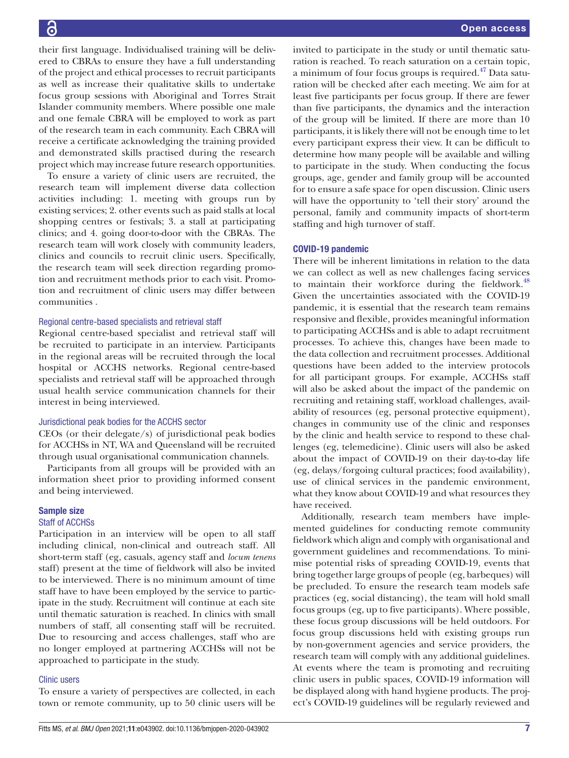their first language. Individualised training will be delivered to CBRAs to ensure they have a full understanding of the project and ethical processes to recruit participants as well as increase their qualitative skills to undertake focus group sessions with Aboriginal and Torres Strait Islander community members. Where possible one male and one female CBRA will be employed to work as part of the research team in each community. Each CBRA will receive a certificate acknowledging the training provided and demonstrated skills practised during the research project which may increase future research opportunities.

To ensure a variety of clinic users are recruited, the research team will implement diverse data collection activities including: 1. meeting with groups run by existing services; 2. other events such as paid stalls at local shopping centres or festivals; 3. a stall at participating clinics; and 4. going door-to-door with the CBRAs. The research team will work closely with community leaders, clinics and councils to recruit clinic users. Specifically, the research team will seek direction regarding promotion and recruitment methods prior to each visit. Promotion and recruitment of clinic users may differ between communities .

#### Regional centre-based specialists and retrieval staff

Regional centre-based specialist and retrieval staff will be recruited to participate in an interview. Participants in the regional areas will be recruited through the local hospital or ACCHS networks. Regional centre-based specialists and retrieval staff will be approached through usual health service communication channels for their interest in being interviewed.

#### Jurisdictional peak bodies for the ACCHS sector

CEOs (or their delegate/s) of jurisdictional peak bodies for ACCHSs in NT, WA and Queensland will be recruited through usual organisational communication channels.

Participants from all groups will be provided with an information sheet prior to providing informed consent and being interviewed.

#### Sample size

#### Staff of ACCHSs

Participation in an interview will be open to all staff including clinical, non-clinical and outreach staff. All short-term staff (eg, casuals, agency staff and *locum tenens* staff) present at the time of fieldwork will also be invited to be interviewed. There is no minimum amount of time staff have to have been employed by the service to participate in the study. Recruitment will continue at each site until thematic saturation is reached. In clinics with small numbers of staff, all consenting staff will be recruited. Due to resourcing and access challenges, staff who are no longer employed at partnering ACCHSs will not be approached to participate in the study.

#### Clinic users

To ensure a variety of perspectives are collected, in each town or remote community, up to 50 clinic users will be

invited to participate in the study or until thematic saturation is reached. To reach saturation on a certain topic, a minimum of four focus groups is required.<sup>47</sup> Data saturation will be checked after each meeting. We aim for at least five participants per focus group. If there are fewer than five participants, the dynamics and the interaction of the group will be limited. If there are more than 10 participants, it is likely there will not be enough time to let every participant express their view. It can be difficult to determine how many people will be available and willing to participate in the study. When conducting the focus groups, age, gender and family group will be accounted for to ensure a safe space for open discussion. Clinic users will have the opportunity to 'tell their story' around the personal, family and community impacts of short-term staffing and high turnover of staff.

#### COVID-19 pandemic

There will be inherent limitations in relation to the data we can collect as well as new challenges facing services to maintain their workforce during the fieldwork.<sup>[48](#page-11-15)</sup> Given the uncertainties associated with the COVID-19 pandemic, it is essential that the research team remains responsive and flexible, provides meaningful information to participating ACCHSs and is able to adapt recruitment processes. To achieve this, changes have been made to the data collection and recruitment processes. Additional questions have been added to the interview protocols for all participant groups. For example, ACCHSs staff will also be asked about the impact of the pandemic on recruiting and retaining staff, workload challenges, availability of resources (eg, personal protective equipment), changes in community use of the clinic and responses by the clinic and health service to respond to these challenges (eg, telemedicine). Clinic users will also be asked about the impact of COVID-19 on their day-to-day life (eg, delays/forgoing cultural practices; food availability), use of clinical services in the pandemic environment, what they know about COVID-19 and what resources they have received.

Additionally, research team members have implemented guidelines for conducting remote community fieldwork which align and comply with organisational and government guidelines and recommendations. To minimise potential risks of spreading COVID-19, events that bring together large groups of people (eg, barbeques) will be precluded. To ensure the research team models safe practices (eg, social distancing), the team will hold small focus groups (eg, up to five participants). Where possible, these focus group discussions will be held outdoors. For focus group discussions held with existing groups run by non-government agencies and service providers, the research team will comply with any additional guidelines. At events where the team is promoting and recruiting clinic users in public spaces, COVID-19 information will be displayed along with hand hygiene products. The project's COVID-19 guidelines will be regularly reviewed and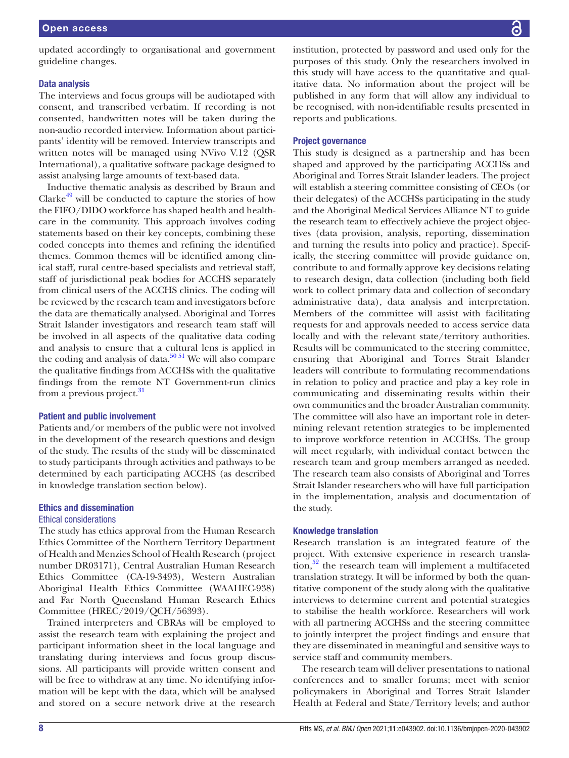updated accordingly to organisational and government guideline changes.

#### Data analysis

The interviews and focus groups will be audiotaped with consent, and transcribed verbatim. If recording is not consented, handwritten notes will be taken during the non-audio recorded interview. Information about participants' identity will be removed. Interview transcripts and written notes will be managed using NVivo V.12 (QSR International), a qualitative software package designed to assist analysing large amounts of text-based data.

Inductive thematic analysis as described by Braun and Clarke $49$  will be conducted to capture the stories of how the FIFO/DIDO workforce has shaped health and healthcare in the community. This approach involves coding statements based on their key concepts, combining these coded concepts into themes and refining the identified themes. Common themes will be identified among clinical staff, rural centre-based specialists and retrieval staff, staff of jurisdictional peak bodies for ACCHS separately from clinical users of the ACCHS clinics. The coding will be reviewed by the research team and investigators before the data are thematically analysed. Aboriginal and Torres Strait Islander investigators and research team staff will be involved in all aspects of the qualitative data coding and analysis to ensure that a cultural lens is applied in the coding and analysis of data.<sup>50.51</sup> We will also compare the qualitative findings from ACCHSs with the qualitative findings from the remote NT Government-run clinics from a previous project.<sup>[31](#page-11-0)</sup>

#### Patient and public involvement

Patients and/or members of the public were not involved in the development of the research questions and design of the study. The results of the study will be disseminated to study participants through activities and pathways to be determined by each participating ACCHS (as described in knowledge translation section below).

#### Ethics and dissemination

#### Ethical considerations

The study has ethics approval from the Human Research Ethics Committee of the Northern Territory Department of Health and Menzies School of Health Research (project number DR03171), Central Australian Human Research Ethics Committee (CA-19-3493), Western Australian Aboriginal Health Ethics Committee (WAAHEC-938) and Far North Queensland Human Research Ethics Committee (HREC/2019/QCH/56393).

Trained interpreters and CBRAs will be employed to assist the research team with explaining the project and participant information sheet in the local language and translating during interviews and focus group discussions. All participants will provide written consent and will be free to withdraw at any time. No identifying information will be kept with the data, which will be analysed and stored on a secure network drive at the research

institution, protected by password and used only for the purposes of this study. Only the researchers involved in this study will have access to the quantitative and qualitative data. No information about the project will be published in any form that will allow any individual to be recognised, with non-identifiable results presented in reports and publications.

#### Project governance

This study is designed as a partnership and has been shaped and approved by the participating ACCHSs and Aboriginal and Torres Strait Islander leaders. The project will establish a steering committee consisting of CEOs (or their delegates) of the ACCHSs participating in the study and the Aboriginal Medical Services Alliance NT to guide the research team to effectively achieve the project objectives (data provision, analysis, reporting, dissemination and turning the results into policy and practice). Specifically, the steering committee will provide guidance on, contribute to and formally approve key decisions relating to research design, data collection (including both field work to collect primary data and collection of secondary administrative data), data analysis and interpretation. Members of the committee will assist with facilitating requests for and approvals needed to access service data locally and with the relevant state/territory authorities. Results will be communicated to the steering committee, ensuring that Aboriginal and Torres Strait Islander leaders will contribute to formulating recommendations in relation to policy and practice and play a key role in communicating and disseminating results within their own communities and the broader Australian community. The committee will also have an important role in determining relevant retention strategies to be implemented to improve workforce retention in ACCHSs. The group will meet regularly, with individual contact between the research team and group members arranged as needed. The research team also consists of Aboriginal and Torres Strait Islander researchers who will have full participation in the implementation, analysis and documentation of the study.

#### Knowledge translation

Research translation is an integrated feature of the project. With extensive experience in research translation, $52$  the research team will implement a multifaceted translation strategy. It will be informed by both the quantitative component of the study along with the qualitative interviews to determine current and potential strategies to stabilise the health workforce. Researchers will work with all partnering ACCHSs and the steering committee to jointly interpret the project findings and ensure that they are disseminated in meaningful and sensitive ways to service staff and community members.

The research team will deliver presentations to national conferences and to smaller forums; meet with senior policymakers in Aboriginal and Torres Strait Islander Health at Federal and State/Territory levels; and author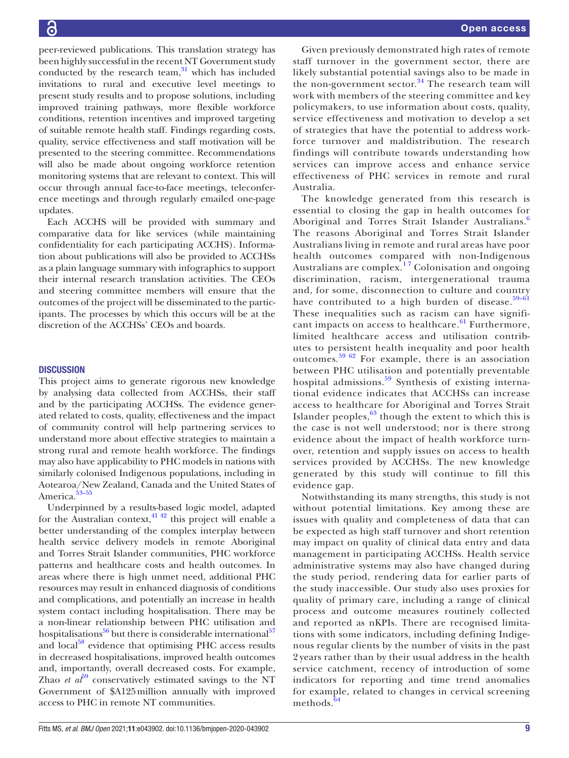peer-reviewed publications. This translation strategy has been highly successful in the recent NT Government study conducted by the research team, $31$  which has included invitations to rural and executive level meetings to present study results and to propose solutions, including improved training pathways, more flexible workforce conditions, retention incentives and improved targeting of suitable remote health staff. Findings regarding costs, quality, service effectiveness and staff motivation will be presented to the steering committee. Recommendations will also be made about ongoing workforce retention monitoring systems that are relevant to context. This will occur through annual face-to-face meetings, teleconference meetings and through regularly emailed one-page updates.

Each ACCHS will be provided with summary and comparative data for like services (while maintaining confidentiality for each participating ACCHS). Information about publications will also be provided to ACCHSs as a plain language summary with infographics to support their internal research translation activities. The CEOs and steering committee members will ensure that the outcomes of the project will be disseminated to the participants. The processes by which this occurs will be at the discretion of the ACCHSs' CEOs and boards.

#### **DISCUSSION**

This project aims to generate rigorous new knowledge by analysing data collected from ACCHSs, their staff and by the participating ACCHSs. The evidence generated related to costs, quality, effectiveness and the impact of community control will help partnering services to understand more about effective strategies to maintain a strong rural and remote health workforce. The findings may also have applicability to PHC models in nations with similarly colonised Indigenous populations, including in Aotearoa/New Zealand, Canada and the United States of America.<sup>[53–55](#page-11-19)</sup>

Underpinned by a results-based logic model, adapted for the Australian context,  $4^{142}$  this project will enable a better understanding of the complex interplay between health service delivery models in remote Aboriginal and Torres Strait Islander communities, PHC workforce patterns and healthcare costs and health outcomes. In areas where there is high unmet need, additional PHC resources may result in enhanced diagnosis of conditions and complications, and potentially an increase in health system contact including hospitalisation. There may be a non-linear relationship between PHC utilisation and hospitalisations $^{56}$  but there is considerable international<sup>57</sup> and local<sup>[58](#page-11-22)</sup> evidence that optimising PHC access results in decreased hospitalisations, improved health outcomes and, importantly, overall decreased costs. For example, Zhao *et al*<sup> $\theta$ </sup> conservatively estimated savings to the NT Government of \$A125million annually with improved access to PHC in remote NT communities.

Given previously demonstrated high rates of remote staff turnover in the government sector, there are likely substantial potential savings also to be made in the non-government sector. $34$  The research team will work with members of the steering committee and key policymakers, to use information about costs, quality, service effectiveness and motivation to develop a set of strategies that have the potential to address workforce turnover and maldistribution. The research findings will contribute towards understanding how services can improve access and enhance service effectiveness of PHC services in remote and rural Australia.

The knowledge generated from this research is essential to closing the gap in health outcomes for Aboriginal and Torres Strait Islander Australians.<sup>[6](#page-10-3)</sup> The reasons Aboriginal and Torres Strait Islander Australians living in remote and rural areas have poor health outcomes compared with non-Indigenous Australians are complex.<sup>17</sup> Colonisation and ongoing discrimination, racism, intergenerational trauma and, for some, disconnection to culture and country have contributed to a high burden of disease. $59-61$ These inequalities such as racism can have significant impacts on access to healthcare. $61$  Furthermore, limited healthcare access and utilisation contributes to persistent health inequality and poor health outcomes.[59 62](#page-11-23) For example, there is an association between PHC utilisation and potentially preventable hospital admissions.<sup>[59](#page-11-23)</sup> Synthesis of existing international evidence indicates that ACCHSs can increase access to healthcare for Aboriginal and Torres Strait Islander peoples,  $63$  though the extent to which this is the case is not well understood; nor is there strong evidence about the impact of health workforce turnover, retention and supply issues on access to health services provided by ACCHSs. The new knowledge generated by this study will continue to fill this evidence gap.

Notwithstanding its many strengths, this study is not without potential limitations. Key among these are issues with quality and completeness of data that can be expected as high staff turnover and short retention may impact on quality of clinical data entry and data management in participating ACCHSs. Health service administrative systems may also have changed during the study period, rendering data for earlier parts of the study inaccessible. Our study also uses proxies for quality of primary care, including a range of clinical process and outcome measures routinely collected and reported as nKPIs. There are recognised limitations with some indicators, including defining Indigenous regular clients by the number of visits in the past 2 years rather than by their usual address in the health service catchment, recency of introduction of some indicators for reporting and time trend anomalies for example, related to changes in cervical screening methods. $64$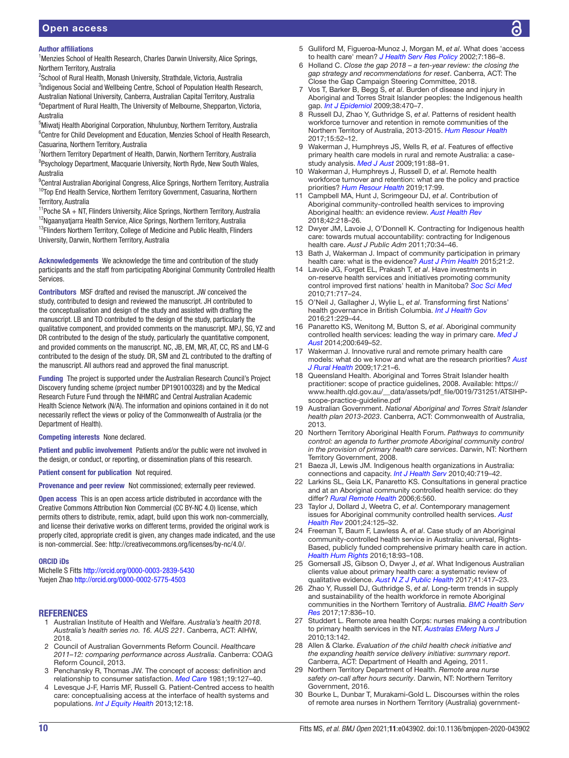#### Author affiliations

<sup>1</sup>Menzies School of Health Research, Charles Darwin University, Alice Springs, Northern Territory, Australia

<sup>2</sup>School of Rural Health, Monash University, Strathdale, Victoria, Australia <sup>3</sup>Indigenous Social and Wellbeing Centre, School of Population Health Research, Australian National University, Canberra, Australian Capital Territory, Australia <sup>4</sup>Department of Rural Health, The University of Melbourne, Shepparton, Victoria, Australia

5 Miwatj Health Aboriginal Corporation, Nhulunbuy, Northern Territory, Australia <sup>6</sup>Centre for Child Development and Education, Menzies School of Health Research, Casuarina, Northern Territory, Australia

<sup>7</sup>Northern Territory Department of Health, Darwin, Northern Territory, Australia <sup>8</sup>Psychology Department, Macquarie University, North Ryde, New South Wales, Australia

<sup>9</sup>Central Australian Aboriginal Congress, Alice Springs, Northern Territory, Australia <sup>10</sup>Top End Health Service, Northern Territory Government, Casuarina, Northern Territory, Australia

 $11$ Poche SA + NT, Flinders University, Alice Springs, Northern Territory, Australia <sup>12</sup>Ngaanyatjarra Health Service, Alice Springs, Northern Territory, Australia

<sup>13</sup>Flinders Northern Territory, College of Medicine and Public Health, Flinders University, Darwin, Northern Territory, Australia

Acknowledgements We acknowledge the time and contribution of the study participants and the staff from participating Aboriginal Community Controlled Health Services.

Contributors MSF drafted and revised the manuscript. JW conceived the study, contributed to design and reviewed the manuscript. JH contributed to the conceptualisation and design of the study and assisted with drafting the manuscript. LB and TD contributed to the design of the study, particularly the qualitative component, and provided comments on the manuscript. MPJ, SG, YZ and DR contributed to the design of the study, particularly the quantitative component, and provided comments on the manuscript. NC, JB, EM, MR, AT, CC, RS and LM-G contributed to the design of the study. DR, SM and ZL contributed to the drafting of the manuscript. All authors read and approved the final manuscript.

Funding The project is supported under the Australian Research Council's Project Discovery funding scheme (project number DP190100328) and by the Medical Research Future Fund through the NHMRC and Central Australian Academic Health Science Network (N/A). The information and opinions contained in it do not necessarily reflect the views or policy of the Commonwealth of Australia (or the Department of Health).

#### Competing interests None declared.

Patient and public involvement Patients and/or the public were not involved in the design, or conduct, or reporting, or dissemination plans of this research.

Patient consent for publication Not required.

Provenance and peer review Not commissioned; externally peer reviewed.

Open access This is an open access article distributed in accordance with the Creative Commons Attribution Non Commercial (CC BY-NC 4.0) license, which permits others to distribute, remix, adapt, build upon this work non-commercially, and license their derivative works on different terms, provided the original work is properly cited, appropriate credit is given, any changes made indicated, and the use is non-commercial. See: [http://creativecommons.org/licenses/by-nc/4.0/.](http://creativecommons.org/licenses/by-nc/4.0/)

#### ORCID iDs

Michelle S Fitts<http://orcid.org/0000-0003-2839-5430> Yuejen Zhao<http://orcid.org/0000-0002-5775-4503>

#### REFERENCES

- <span id="page-10-0"></span>1 Australian Institute of Health and Welfare. *Australia's health 2018. Australia's health series no. 16. AUS 221*. Canberra, ACT: AIHW, 2018.
- <span id="page-10-1"></span>2 Council of Australian Governments Reform Council. *Healthcare 2011–12: comparing performance across Australia*. Canberra: COAG Reform Council, 2013.
- <span id="page-10-2"></span>3 Penchansky R, Thomas JW. The concept of access: definition and relationship to consumer satisfaction. *[Med Care](http://dx.doi.org/10.1097/00005650-198102000-00001)* 1981;19:127–40.
- 4 Levesque J-F, Harris MF, Russell G. Patient-Centred access to health care: conceptualising access at the interface of health systems and populations. *[Int J Equity Health](http://dx.doi.org/10.1186/1475-9276-12-18)* 2013;12:18.
- 5 Gulliford M, Figueroa-Munoz J, Morgan M, *et al*. What does 'access to health care' mean? *[J Health Serv Res Policy](http://dx.doi.org/10.1258/135581902760082517)* 2002;7:186–8.
- <span id="page-10-3"></span>6 Holland C. *Close the gap 2018 – a ten-year review: the closing the gap strategy and recommendations for reset*. Canberra, ACT: The Close the Gap Campaign Steering Committee, 2018.
- <span id="page-10-4"></span>7 Vos T, Barker B, Begg S, *et al*. Burden of disease and injury in Aboriginal and Torres Strait Islander peoples: the Indigenous health gap. *[Int J Epidemiol](http://dx.doi.org/10.1093/ije/dyn240)* 2009;38:470–7.
- <span id="page-10-5"></span>8 Russell DJ, Zhao Y, Guthridge S, *et al*. Patterns of resident health workforce turnover and retention in remote communities of the Northern Territory of Australia, 2013-2015. *[Hum Resour Health](http://dx.doi.org/10.1186/s12960-017-0229-9)* 2017;15:52–12.
- <span id="page-10-7"></span>9 Wakerman J, Humphreys JS, Wells R, *et al*. Features of effective primary health care models in rural and remote Australia: a casestudy analysis. *[Med J Aust](http://dx.doi.org/10.5694/j.1326-5377.2009.tb02700.x)* 2009;191:88–91.
- 10 Wakerman J, Humphreys J, Russell D, *et al*. Remote health workforce turnover and retention: what are the policy and practice priorities? *[Hum Resour Health](http://dx.doi.org/10.1186/s12960-019-0432-y)* 2019;17:99.
- <span id="page-10-6"></span>11 Campbell MA, Hunt J, Scrimgeour DJ, *et al*. Contribution of Aboriginal community-controlled health services to improving Aboriginal health: an evidence review. *[Aust Health Rev](http://dx.doi.org/10.1071/AH16149)* 2018;42:218–26.
- <span id="page-10-8"></span>12 Dwyer JM, Lavoie J, O'Donnell K. Contracting for Indigenous health care: towards mutual accountability: contracting for Indigenous health care. *Aust J Public Adm* 2011;70:34–46.
- 13 Bath J, Wakerman J. Impact of community participation in primary health care: what is the evidence? *[Aust J Prim Health](http://dx.doi.org/10.1071/PY12164)* 2015;21:2.
- 14 Lavoie JG, Forget EL, Prakash T, *et al*. Have investments in on-reserve health services and initiatives promoting community control improved first nations' health in Manitoba? *[Soc Sci Med](http://dx.doi.org/10.1016/j.socscimed.2010.04.037)* 2010;71:717–24.
- 15 O'Neil J, Gallagher J, Wylie L, *et al*. Transforming first Nations' health governance in British Columbia. *[Int J Health Gov](http://dx.doi.org/10.1108/IJHG-08-2016-0042)* 2016;21:229–44.
- 16 Panaretto KS, Wenitong M, Button S, *et al*. Aboriginal community controlled health services: leading the way in primary care. *[Med J](http://dx.doi.org/10.5694/mja13.00005)  [Aust](http://dx.doi.org/10.5694/mja13.00005)* 2014;200:649–52.
- <span id="page-10-9"></span>17 Wakerman J. Innovative rural and remote primary health care models: what do we know and what are the research priorities? *[Aust](http://dx.doi.org/10.1111/j.1440-1584.2008.01032.x)  [J Rural Health](http://dx.doi.org/10.1111/j.1440-1584.2008.01032.x)* 2009;17:21–6.
- <span id="page-10-10"></span>18 Queensland Health. Aboriginal and Torres Strait Islander health practitioner: scope of practice guidelines, 2008. Available: [https://](https://www.health.qld.gov.au/__data/assets/pdf_file/0019/731251/ATSIHP-scope-practice-guideline.pdf) [www.health.qld.gov.au/\\_\\_data/assets/pdf\\_file/0019/731251/ATSIHP](https://www.health.qld.gov.au/__data/assets/pdf_file/0019/731251/ATSIHP-scope-practice-guideline.pdf)[scope-practice-guideline.pdf](https://www.health.qld.gov.au/__data/assets/pdf_file/0019/731251/ATSIHP-scope-practice-guideline.pdf)
- <span id="page-10-11"></span>19 Australian Government. *National Aboriginal and Torres Strait Islander health plan 2013-2023*. Canberra, ACT: Commonwealth of Australia, 2013.
- <span id="page-10-12"></span>20 Northern Territory Aboriginal Health Forum. *Pathways to community control: an agenda to further promote Aboriginal community control in the provision of primary health care services*. Darwin, NT: Northern Territory Government, 2008.
- <span id="page-10-13"></span>21 Baeza JI, Lewis JM. Indigenous health organizations in Australia: connections and capacity. *[Int J Health Serv](http://dx.doi.org/10.2190/HS.40.4.i)* 2010;40:719–42.
- <span id="page-10-14"></span>22 Larkins SL, Geia LK, Panaretto KS. Consultations in general practice and at an Aboriginal community controlled health service: do they differ? *[Rural Remote Health](http://www.ncbi.nlm.nih.gov/pubmed/16863398)* 2006;6:560.
- <span id="page-10-15"></span>23 Taylor J, Dollard J, Weetra C, *et al*. Contemporary management issues for Aboriginal community controlled health services. *[Aust](http://dx.doi.org/10.1071/ah010125)  [Health Rev](http://dx.doi.org/10.1071/ah010125)* 2001;24:125–32.
- <span id="page-10-16"></span>24 Freeman T, Baum F, Lawless A, *et al*. Case study of an Aboriginal community-controlled health service in Australia: universal, Rights-Based, publicly funded comprehensive primary health care in action. *[Health Hum Rights](http://www.ncbi.nlm.nih.gov/pubmed/28559679)* 2016;18:93–108.
- <span id="page-10-17"></span>25 Gomersall JS, Gibson O, Dwyer J, *et al*. What Indigenous Australian clients value about primary health care: a systematic review of qualitative evidence. *[Aust N Z J Public Health](http://dx.doi.org/10.1111/1753-6405.12687)* 2017;41:417–23.
- <span id="page-10-18"></span>26 Zhao Y, Russell DJ, Guthridge S, *et al*. Long-term trends in supply and sustainability of the health workforce in remote Aboriginal communities in the Northern Territory of Australia. *[BMC Health Serv](http://dx.doi.org/10.1186/s12913-017-2803-1)  [Res](http://dx.doi.org/10.1186/s12913-017-2803-1)* 2017;17:836–10.
- <span id="page-10-19"></span>27 Studdert L. Remote area health Corps: nurses making a contribution to primary health services in the NT. *[Australas EMerg Nurs J](http://dx.doi.org/10.1016/j.aenj.2010.08.277)* 2010;13:142.
- <span id="page-10-20"></span>28 Allen & Clarke. *Evaluation of the child health check initiative and the expanding health service delivery initiative: summary report*. Canberra, ACT: Department of Health and Ageing, 2011.
- <span id="page-10-21"></span>29 Northern Territory Department of Health. *Remote area nurse safety on-call after hours security*. Darwin, NT: Northern Territory Government, 2016.
- <span id="page-10-22"></span>30 Bourke L, Dunbar T, Murakami-Gold L. Discourses within the roles of remote area nurses in Northern Territory (Australia) government-